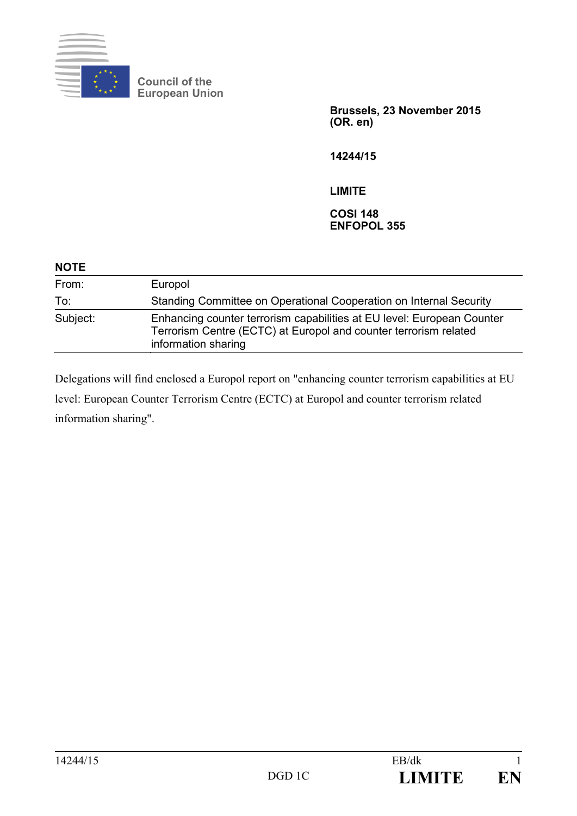

**Council of the European Union**

> **Brussels, 23 November 2015 (OR. en)**

**14244/15**

**LIMITE**

**COSI 148 ENFOPOL 355**

| <b>NOTE</b> |                                                                                                                                                                   |
|-------------|-------------------------------------------------------------------------------------------------------------------------------------------------------------------|
| From:       | Europol                                                                                                                                                           |
| To:         | Standing Committee on Operational Cooperation on Internal Security                                                                                                |
| Subject:    | Enhancing counter terrorism capabilities at EU level: European Counter<br>Terrorism Centre (ECTC) at Europol and counter terrorism related<br>information sharing |

Delegations will find enclosed a Europol report on "enhancing counter terrorism capabilities at EU level: European Counter Terrorism Centre (ECTC) at Europol and counter terrorism related information sharing".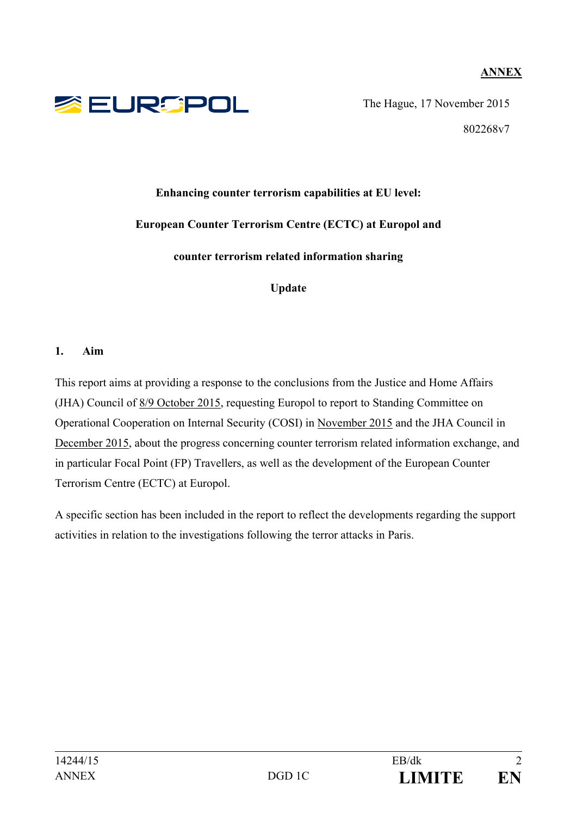## **ANNEX**



The Hague, 17 November 2015 802268v7

# **Enhancing counter terrorism capabilities at EU level: European Counter Terrorism Centre (ECTC) at Europol and**

**counter terrorism related information sharing**

**Update**

#### **1. Aim**

This report aims at providing a response to the conclusions from the Justice and Home Affairs (JHA) Council of 8/9 October 2015, requesting Europol to report to Standing Committee on Operational Cooperation on Internal Security (COSI) in November 2015 and the JHA Council in December 2015, about the progress concerning counter terrorism related information exchange, and in particular Focal Point (FP) Travellers, as well as the development of the European Counter Terrorism Centre (ECTC) at Europol.

A specific section has been included in the report to reflect the developments regarding the support activities in relation to the investigations following the terror attacks in Paris.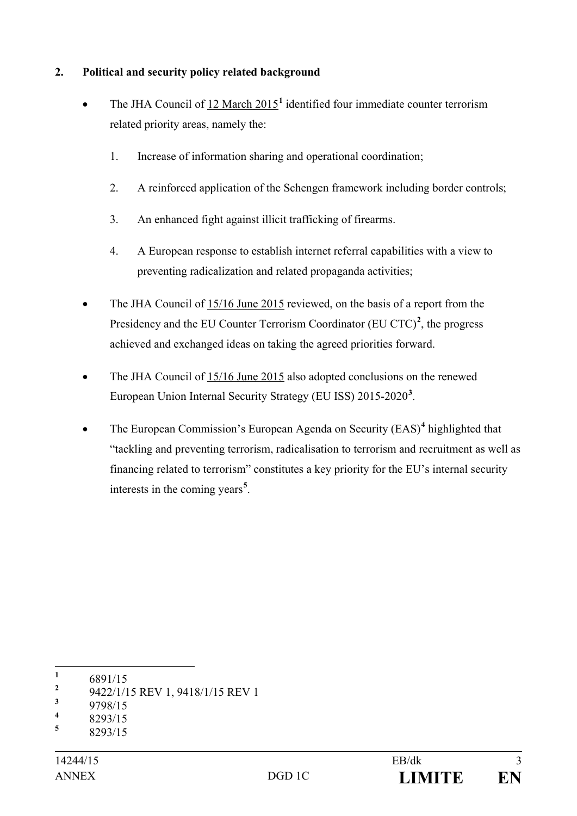## **2. Political and security policy related background**

- The JHA Council of 12 March 2015**[1](#page-2-0)** identified four immediate counter terrorism related priority areas, namely the:
	- 1. Increase of information sharing and operational coordination;
	- 2. A reinforced application of the Schengen framework including border controls;
	- 3. An enhanced fight against illicit trafficking of firearms.
	- 4. A European response to establish internet referral capabilities with a view to preventing radicalization and related propaganda activities;
- The JHA Council of 15/16 June 2015 reviewed, on the basis of a report from the Presidency and the EU Counter Terrorism Coordinator  $(EU CTC)^2$  $(EU CTC)^2$ , the progress achieved and exchanged ideas on taking the agreed priorities forward.
- The JHA Council of 15/16 June 2015 also adopted conclusions on the renewed European Union Internal Security Strategy (EU ISS) 2015-2020**[3](#page-2-2)** .
- The European Commission's European Agenda on Security (EAS)<sup>[4](#page-2-3)</sup> highlighted that "tackling and preventing terrorism, radicalisation to terrorism and recruitment as well as financing related to terrorism" constitutes a key priority for the EU's internal security interests in the coming years**[5](#page-2-4)** .

<span id="page-2-1"></span><sup>2</sup> 9422/1/15 REV 1, 9418/1/15 REV 1

<span id="page-2-0"></span> $\frac{1}{2}$  6891/15

<span id="page-2-2"></span> $\frac{3}{4}$  9798/15

<span id="page-2-3"></span> $\frac{4}{5}$  8293/15

<span id="page-2-4"></span>**<sup>5</sup>** 8293/15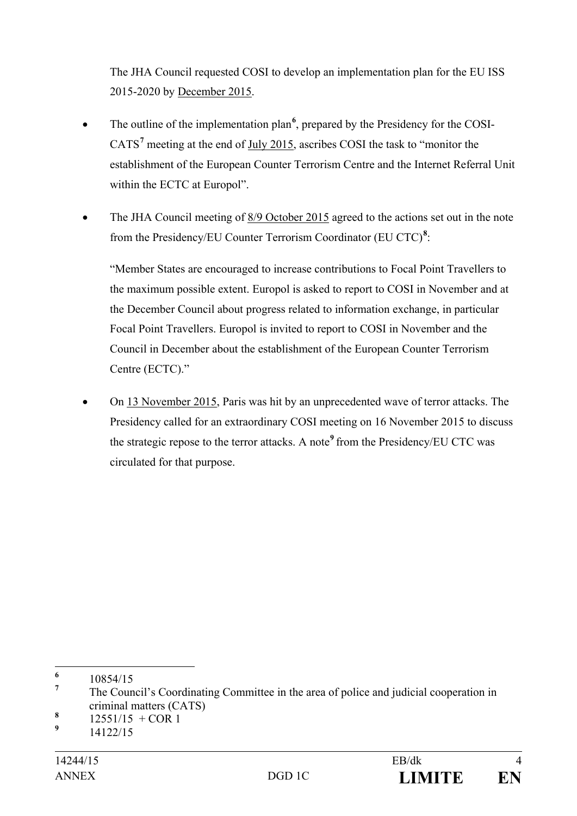The JHA Council requested COSI to develop an implementation plan for the EU ISS 2015-2020 by December 2015.

- The outline of the implementation plan<sup>[6](#page-3-0)</sup>, prepared by the Presidency for the COSI-CATS**[7](#page-3-1)** meeting at the end of July 2015, ascribes COSI the task to "monitor the establishment of the European Counter Terrorism Centre and the Internet Referral Unit within the ECTC at Europol".
- The JHA Council meeting of 8/9 October 2015 agreed to the actions set out in the note from the Presidency/EU Counter Terrorism Coordinator (EU CTC)**[8](#page-3-2)** :

"Member States are encouraged to increase contributions to Focal Point Travellers to the maximum possible extent. Europol is asked to report to COSI in November and at the December Council about progress related to information exchange, in particular Focal Point Travellers. Europol is invited to report to COSI in November and the Council in December about the establishment of the European Counter Terrorism Centre (ECTC)."

• On 13 November 2015, Paris was hit by an unprecedented wave of terror attacks. The Presidency called for an extraordinary COSI meeting on 16 November 2015 to discuss the strategic repose to the terror attacks. A note**[9](#page-3-3)** from the Presidency/EU CTC was circulated for that purpose.

<span id="page-3-0"></span> $\frac{6}{7}$  10854/15

<span id="page-3-1"></span>**<sup>7</sup>** The Council's Coordinating Committee in the area of police and judicial cooperation in criminal matters (CATS)

<span id="page-3-2"></span> $\frac{8}{9}$  12551/15 + COR 1

<span id="page-3-3"></span>**<sup>9</sup>** 14122/15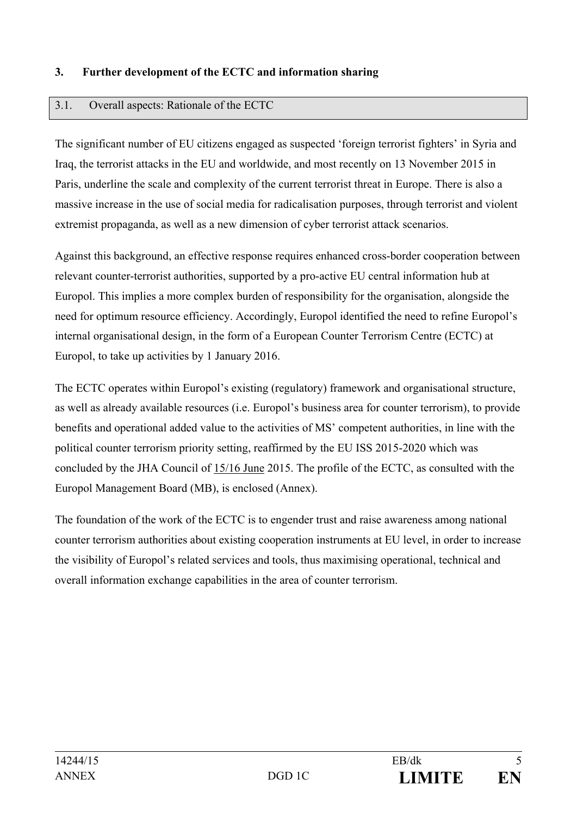#### **3. Further development of the ECTC and information sharing**

#### 3.1. Overall aspects: Rationale of the ECTC

The significant number of EU citizens engaged as suspected 'foreign terrorist fighters' in Syria and Iraq, the terrorist attacks in the EU and worldwide, and most recently on 13 November 2015 in Paris, underline the scale and complexity of the current terrorist threat in Europe. There is also a massive increase in the use of social media for radicalisation purposes, through terrorist and violent extremist propaganda, as well as a new dimension of cyber terrorist attack scenarios.

Against this background, an effective response requires enhanced cross-border cooperation between relevant counter-terrorist authorities, supported by a pro-active EU central information hub at Europol. This implies a more complex burden of responsibility for the organisation, alongside the need for optimum resource efficiency. Accordingly, Europol identified the need to refine Europol's internal organisational design, in the form of a European Counter Terrorism Centre (ECTC) at Europol, to take up activities by 1 January 2016.

The ECTC operates within Europol's existing (regulatory) framework and organisational structure, as well as already available resources (i.e. Europol's business area for counter terrorism), to provide benefits and operational added value to the activities of MS' competent authorities, in line with the political counter terrorism priority setting, reaffirmed by the EU ISS 2015-2020 which was concluded by the JHA Council of 15/16 June 2015. The profile of the ECTC, as consulted with the Europol Management Board (MB), is enclosed (Annex).

The foundation of the work of the ECTC is to engender trust and raise awareness among national counter terrorism authorities about existing cooperation instruments at EU level, in order to increase the visibility of Europol's related services and tools, thus maximising operational, technical and overall information exchange capabilities in the area of counter terrorism.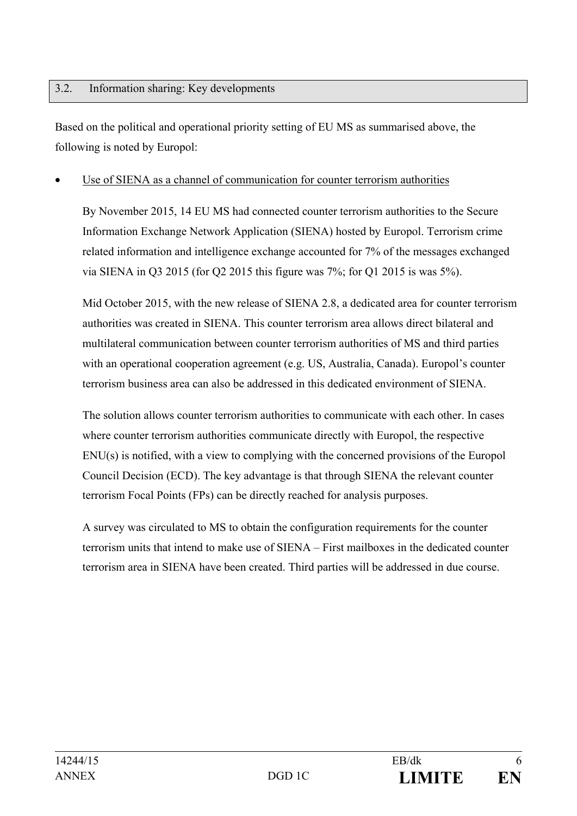#### 3.2. Information sharing: Key developments

Based on the political and operational priority setting of EU MS as summarised above, the following is noted by Europol:

#### Use of SIENA as a channel of communication for counter terrorism authorities

By November 2015, 14 EU MS had connected counter terrorism authorities to the Secure Information Exchange Network Application (SIENA) hosted by Europol. Terrorism crime related information and intelligence exchange accounted for 7% of the messages exchanged via SIENA in Q3 2015 (for Q2 2015 this figure was 7%; for Q1 2015 is was 5%).

Mid October 2015, with the new release of SIENA 2.8, a dedicated area for counter terrorism authorities was created in SIENA. This counter terrorism area allows direct bilateral and multilateral communication between counter terrorism authorities of MS and third parties with an operational cooperation agreement (e.g. US, Australia, Canada). Europol's counter terrorism business area can also be addressed in this dedicated environment of SIENA.

The solution allows counter terrorism authorities to communicate with each other. In cases where counter terrorism authorities communicate directly with Europol, the respective ENU(s) is notified, with a view to complying with the concerned provisions of the Europol Council Decision (ECD). The key advantage is that through SIENA the relevant counter terrorism Focal Points (FPs) can be directly reached for analysis purposes.

A survey was circulated to MS to obtain the configuration requirements for the counter terrorism units that intend to make use of SIENA – First mailboxes in the dedicated counter terrorism area in SIENA have been created. Third parties will be addressed in due course.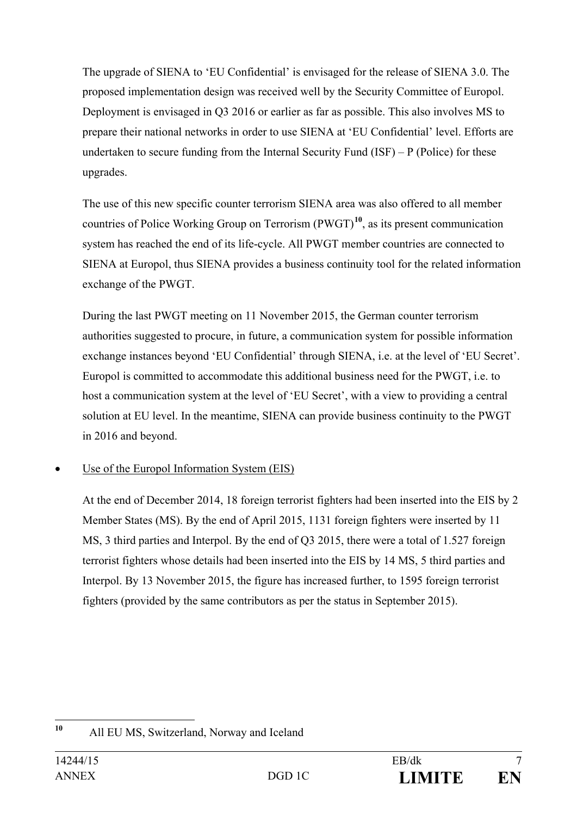The upgrade of SIENA to 'EU Confidential' is envisaged for the release of SIENA 3.0. The proposed implementation design was received well by the Security Committee of Europol. Deployment is envisaged in Q3 2016 or earlier as far as possible. This also involves MS to prepare their national networks in order to use SIENA at 'EU Confidential' level. Efforts are undertaken to secure funding from the Internal Security Fund  $(ISF) - P$  (Police) for these upgrades.

The use of this new specific counter terrorism SIENA area was also offered to all member countries of Police Working Group on Terrorism (PWGT)**[10](#page-6-0)**, as its present communication system has reached the end of its life-cycle. All PWGT member countries are connected to SIENA at Europol, thus SIENA provides a business continuity tool for the related information exchange of the PWGT.

During the last PWGT meeting on 11 November 2015, the German counter terrorism authorities suggested to procure, in future, a communication system for possible information exchange instances beyond 'EU Confidential' through SIENA, i.e. at the level of 'EU Secret'. Europol is committed to accommodate this additional business need for the PWGT, i.e. to host a communication system at the level of 'EU Secret', with a view to providing a central solution at EU level. In the meantime, SIENA can provide business continuity to the PWGT in 2016 and beyond.

## Use of the Europol Information System (EIS)

At the end of December 2014, 18 foreign terrorist fighters had been inserted into the EIS by 2 Member States (MS). By the end of April 2015, 1131 foreign fighters were inserted by 11 MS, 3 third parties and Interpol. By the end of Q3 2015, there were a total of 1.527 foreign terrorist fighters whose details had been inserted into the EIS by 14 MS, 5 third parties and Interpol. By 13 November 2015, the figure has increased further, to 1595 foreign terrorist fighters (provided by the same contributors as per the status in September 2015).

<span id="page-6-0"></span>**<sup>10</sup>** All EU MS, Switzerland, Norway and Iceland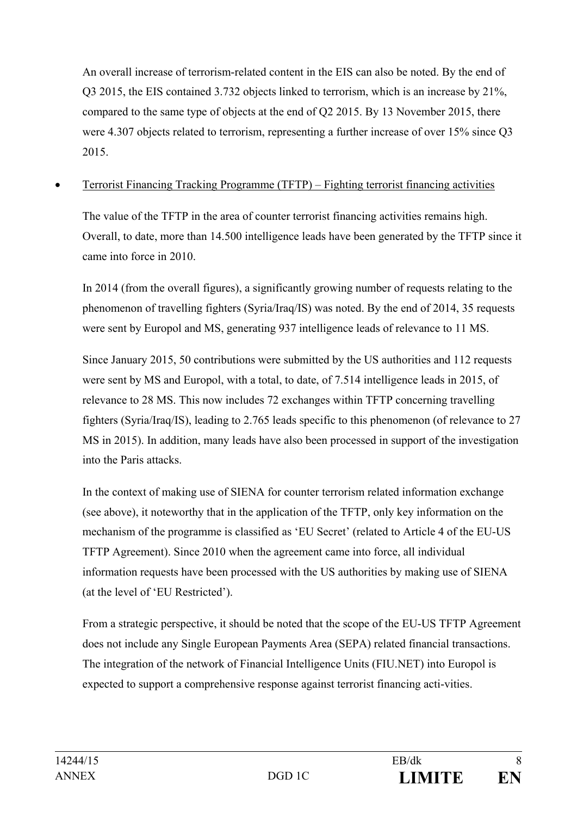An overall increase of terrorism-related content in the EIS can also be noted. By the end of Q3 2015, the EIS contained 3.732 objects linked to terrorism, which is an increase by 21%, compared to the same type of objects at the end of Q2 2015. By 13 November 2015, there were 4.307 objects related to terrorism, representing a further increase of over 15% since Q3 2015.

• Terrorist Financing Tracking Programme (TFTP) – Fighting terrorist financing activities

The value of the TFTP in the area of counter terrorist financing activities remains high. Overall, to date, more than 14.500 intelligence leads have been generated by the TFTP since it came into force in 2010.

In 2014 (from the overall figures), a significantly growing number of requests relating to the phenomenon of travelling fighters (Syria/Iraq/IS) was noted. By the end of 2014, 35 requests were sent by Europol and MS, generating 937 intelligence leads of relevance to 11 MS.

Since January 2015, 50 contributions were submitted by the US authorities and 112 requests were sent by MS and Europol, with a total, to date, of 7.514 intelligence leads in 2015, of relevance to 28 MS. This now includes 72 exchanges within TFTP concerning travelling fighters (Syria/Iraq/IS), leading to 2.765 leads specific to this phenomenon (of relevance to 27 MS in 2015). In addition, many leads have also been processed in support of the investigation into the Paris attacks.

In the context of making use of SIENA for counter terrorism related information exchange (see above), it noteworthy that in the application of the TFTP, only key information on the mechanism of the programme is classified as 'EU Secret' (related to Article 4 of the EU-US TFTP Agreement). Since 2010 when the agreement came into force, all individual information requests have been processed with the US authorities by making use of SIENA (at the level of 'EU Restricted').

From a strategic perspective, it should be noted that the scope of the EU-US TFTP Agreement does not include any Single European Payments Area (SEPA) related financial transactions. The integration of the network of Financial Intelligence Units (FIU.NET) into Europol is expected to support a comprehensive response against terrorist financing acti-vities.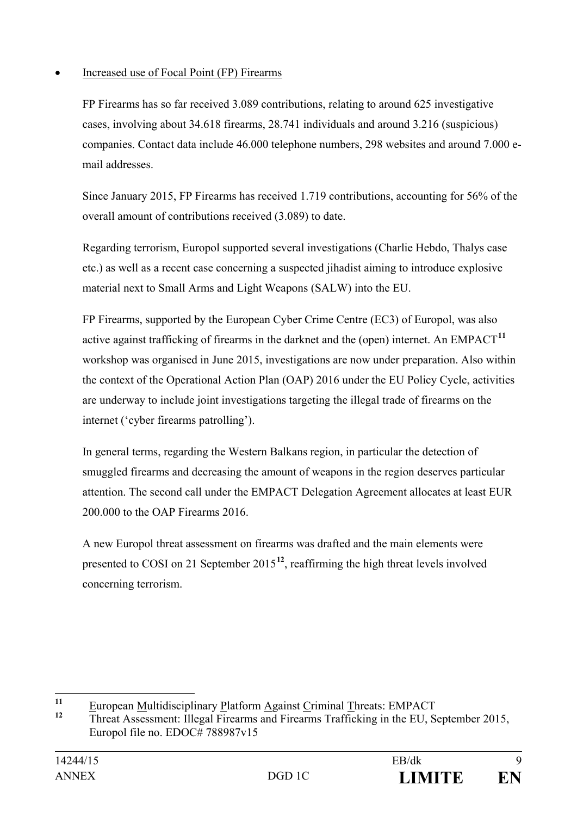## • Increased use of Focal Point (FP) Firearms

FP Firearms has so far received 3.089 contributions, relating to around 625 investigative cases, involving about 34.618 firearms, 28.741 individuals and around 3.216 (suspicious) companies. Contact data include 46.000 telephone numbers, 298 websites and around 7.000 email addresses.

Since January 2015, FP Firearms has received 1.719 contributions, accounting for 56% of the overall amount of contributions received (3.089) to date.

Regarding terrorism, Europol supported several investigations (Charlie Hebdo, Thalys case etc.) as well as a recent case concerning a suspected jihadist aiming to introduce explosive material next to Small Arms and Light Weapons (SALW) into the EU.

FP Firearms, supported by the European Cyber Crime Centre (EC3) of Europol, was also active against trafficking of firearms in the darknet and the (open) internet. An  $EMPACT<sup>11</sup>$  $EMPACT<sup>11</sup>$  $EMPACT<sup>11</sup>$ workshop was organised in June 2015, investigations are now under preparation. Also within the context of the Operational Action Plan (OAP) 2016 under the EU Policy Cycle, activities are underway to include joint investigations targeting the illegal trade of firearms on the internet ('cyber firearms patrolling').

In general terms, regarding the Western Balkans region, in particular the detection of smuggled firearms and decreasing the amount of weapons in the region deserves particular attention. The second call under the EMPACT Delegation Agreement allocates at least EUR 200.000 to the OAP Firearms 2016.

A new Europol threat assessment on firearms was drafted and the main elements were presented to COSI on 21 September 2015**[12](#page-8-1)**, reaffirming the high threat levels involved concerning terrorism.

<span id="page-8-0"></span><sup>&</sup>lt;sup>11</sup> European <u>M</u>ultidisciplinary Platform Against Criminal Threats: EMPACT<br>Threat Agazament: Illegal Financy or d Financy Trafficking in the FLL S

<span id="page-8-1"></span>**<sup>12</sup>** Threat Assessment: Illegal Firearms and Firearms Trafficking in the EU, September 2015, Europol file no. EDOC# 788987v15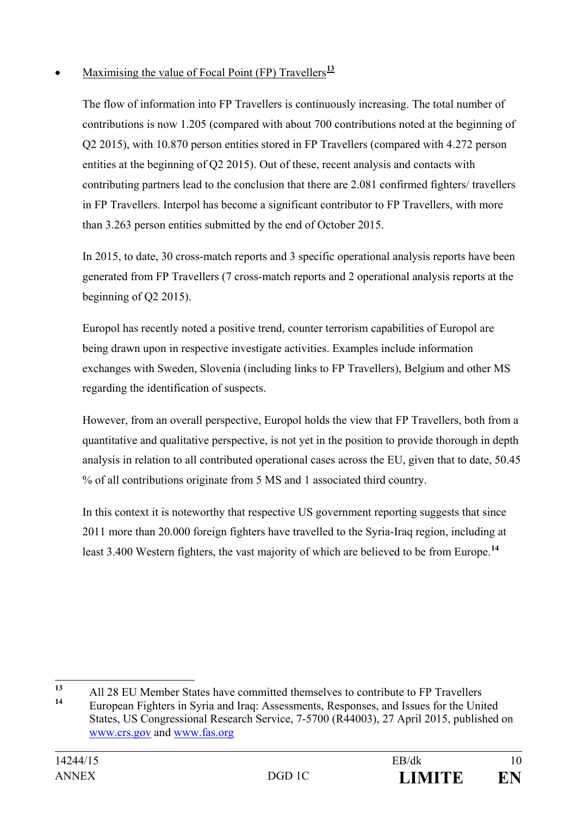## Maximising the value of Focal Point (FP) Travellers<sup>[13](#page-9-0)</sup>

The flow of information into FP Travellers is continuously increasing. The total number of contributions is now 1.205 (compared with about 700 contributions noted at the beginning of Q2 2015), with 10.870 person entities stored in FP Travellers (compared with 4.272 person entities at the beginning of Q2 2015). Out of these, recent analysis and contacts with contributing partners lead to the conclusion that there are 2.081 confirmed fighters/ travellers in FP Travellers. Interpol has become a significant contributor to FP Travellers, with more than 3.263 person entities submitted by the end of October 2015.

In 2015, to date, 30 cross-match reports and 3 specific operational analysis reports have been generated from FP Travellers (7 cross-match reports and 2 operational analysis reports at the beginning of Q2 2015).

Europol has recently noted a positive trend, counter terrorism capabilities of Europol are being drawn upon in respective investigate activities. Examples include information exchanges with Sweden, Slovenia (including links to FP Travellers), Belgium and other MS regarding the identification of suspects.

However, from an overall perspective, Europol holds the view that FP Travellers, both from a quantitative and qualitative perspective, is not yet in the position to provide thorough in depth analysis in relation to all contributed operational cases across the EU, given that to date, 50.45 % of all contributions originate from 5 MS and 1 associated third country.

In this context it is noteworthy that respective US government reporting suggests that since 2011 more than 20.000 foreign fighters have travelled to the Syria-Iraq region, including at least 3.400 Western fighters, the vast majority of which are believed to be from Europe.**[14](#page-9-1)**

<span id="page-9-1"></span><span id="page-9-0"></span><sup>13</sup> All 28 EU Member States have committed themselves to contribute to FP Travellers **<sup>14</sup>** European Fighters in Syria and Iraq: Assessments, Responses, and Issues for the United

States, US Congressional Research Service, 7-5700 (R44003), 27 April 2015, published on [www.crs.gov](http://www.crs.gov/) and [www.fas.org](http://www.fas.org/)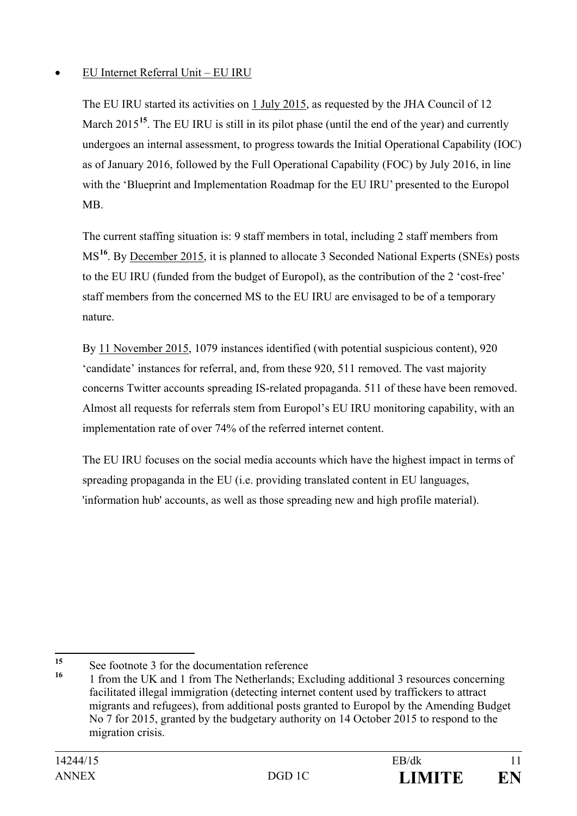## • EU Internet Referral Unit – EU IRU

The EU IRU started its activities on 1 July 2015, as requested by the JHA Council of 12 March 20[15](#page-10-0)<sup>15</sup>. The EU IRU is still in its pilot phase (until the end of the year) and currently undergoes an internal assessment, to progress towards the Initial Operational Capability (IOC) as of January 2016, followed by the Full Operational Capability (FOC) by July 2016, in line with the 'Blueprint and Implementation Roadmap for the EU IRU' presented to the Europol MB.

The current staffing situation is: 9 staff members in total, including 2 staff members from MS**[16](#page-10-1)**. By December 2015, it is planned to allocate 3 Seconded National Experts (SNEs) posts to the EU IRU (funded from the budget of Europol), as the contribution of the 2 'cost-free' staff members from the concerned MS to the EU IRU are envisaged to be of a temporary nature.

By 11 November 2015, 1079 instances identified (with potential suspicious content), 920 'candidate' instances for referral, and, from these 920, 511 removed. The vast majority concerns Twitter accounts spreading IS-related propaganda. 511 of these have been removed. Almost all requests for referrals stem from Europol's EU IRU monitoring capability, with an implementation rate of over 74% of the referred internet content.

The EU IRU focuses on the social media accounts which have the highest impact in terms of spreading propaganda in the EU (i.e. providing translated content in EU languages, 'information hub' accounts, as well as those spreading new and high profile material).

<span id="page-10-0"></span><sup>&</sup>lt;sup>15</sup> See footnote 3 for the documentation reference

<span id="page-10-1"></span><sup>1</sup> from the UK and 1 from The Netherlands; Excluding additional 3 resources concerning facilitated illegal immigration (detecting internet content used by traffickers to attract migrants and refugees), from additional posts granted to Europol by the Amending Budget No 7 for 2015, granted by the budgetary authority on 14 October 2015 to respond to the migration crisis.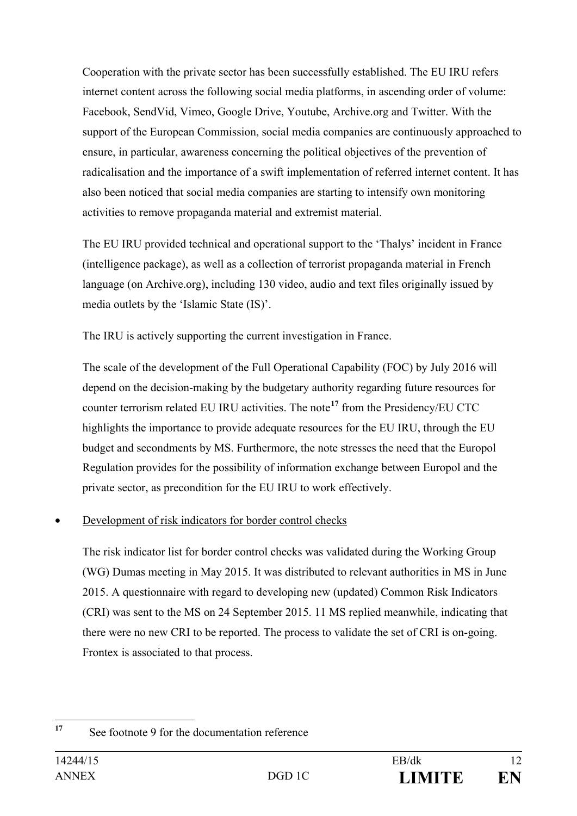Cooperation with the private sector has been successfully established. The EU IRU refers internet content across the following social media platforms, in ascending order of volume: Facebook, SendVid, Vimeo, Google Drive, Youtube, Archive.org and Twitter. With the support of the European Commission, social media companies are continuously approached to ensure, in particular, awareness concerning the political objectives of the prevention of radicalisation and the importance of a swift implementation of referred internet content. It has also been noticed that social media companies are starting to intensify own monitoring activities to remove propaganda material and extremist material.

The EU IRU provided technical and operational support to the 'Thalys' incident in France (intelligence package), as well as a collection of terrorist propaganda material in French language (on [Archive.org\)](http://www.archive.org/), including 130 video, audio and text files originally issued by media outlets by the 'Islamic State (IS)'.

The IRU is actively supporting the current investigation in France.

The scale of the development of the Full Operational Capability (FOC) by July 2016 will depend on the decision-making by the budgetary authority regarding future resources for counter terrorism related EU IRU activities. The note**[17](#page-11-0)** from the Presidency/EU CTC highlights the importance to provide adequate resources for the EU IRU, through the EU budget and secondments by MS. Furthermore, the note stresses the need that the Europol Regulation provides for the possibility of information exchange between Europol and the private sector, as precondition for the EU IRU to work effectively.

## Development of risk indicators for border control checks

The risk indicator list for border control checks was validated during the Working Group (WG) Dumas meeting in May 2015. It was distributed to relevant authorities in MS in June 2015. A questionnaire with regard to developing new (updated) Common Risk Indicators (CRI) was sent to the MS on 24 September 2015. 11 MS replied meanwhile, indicating that there were no new CRI to be reported. The process to validate the set of CRI is on-going. Frontex is associated to that process.

<span id="page-11-0"></span>**<sup>17</sup>** See footnote 9 for the documentation reference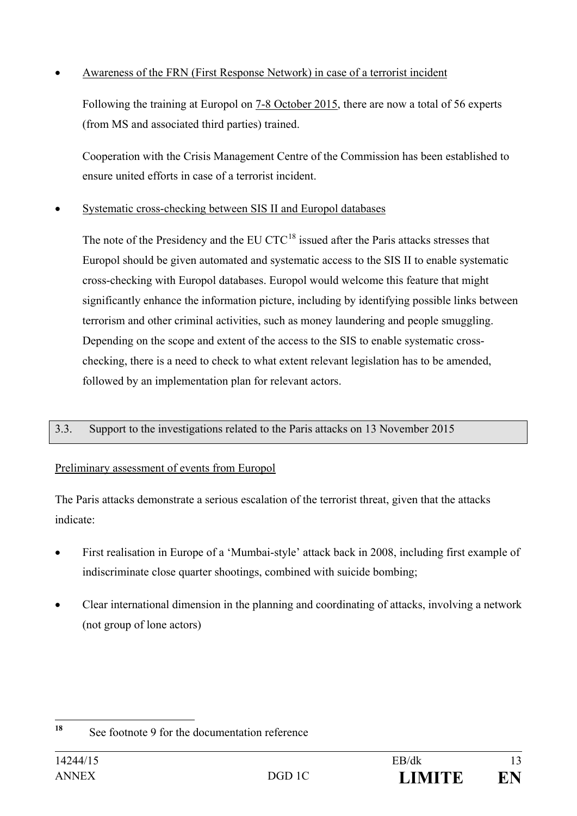## • Awareness of the FRN (First Response Network) in case of a terrorist incident

Following the training at Europol on 7-8 October 2015, there are now a total of 56 experts (from MS and associated third parties) trained.

Cooperation with the Crisis Management Centre of the Commission has been established to ensure united efforts in case of a terrorist incident.

### • Systematic cross-checking between SIS II and Europol databases

The note of the Presidency and the EU CTC<sup>[18](#page-12-0)</sup> issued after the Paris attacks stresses that Europol should be given automated and systematic access to the SIS II to enable systematic cross-checking with Europol databases. Europol would welcome this feature that might significantly enhance the information picture, including by identifying possible links between terrorism and other criminal activities, such as money laundering and people smuggling. Depending on the scope and extent of the access to the SIS to enable systematic crosschecking, there is a need to check to what extent relevant legislation has to be amended, followed by an implementation plan for relevant actors.

#### 3.3. Support to the investigations related to the Paris attacks on 13 November 2015

## Preliminary assessment of events from Europol

The Paris attacks demonstrate a serious escalation of the terrorist threat, given that the attacks indicate:

- First realisation in Europe of a 'Mumbai-style' attack back in 2008, including first example of indiscriminate close quarter shootings, combined with suicide bombing;
- Clear international dimension in the planning and coordinating of attacks, involving a network (not group of lone actors)

<span id="page-12-0"></span>**<sup>18</sup>** See footnote 9 for the documentation reference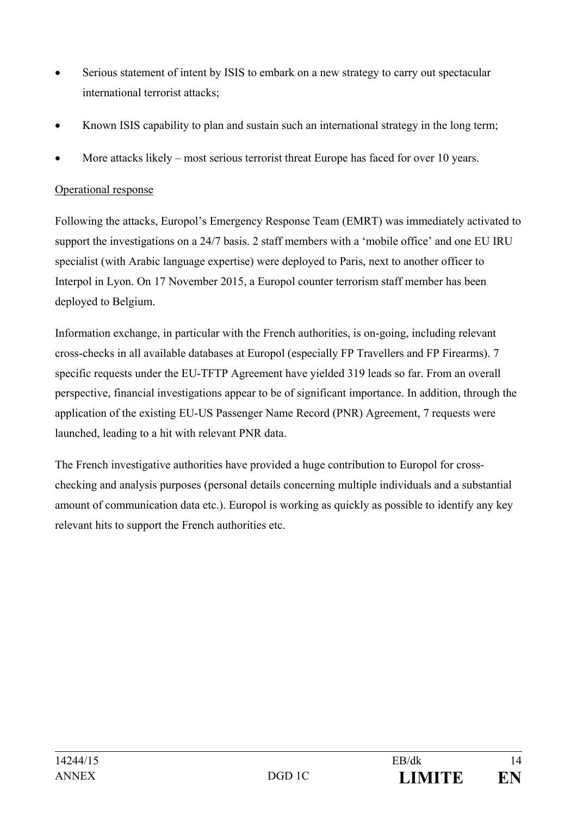- Serious statement of intent by ISIS to embark on a new strategy to carry out spectacular international terrorist attacks;
- Known ISIS capability to plan and sustain such an international strategy in the long term;
- More attacks likely most serious terrorist threat Europe has faced for over 10 years.

#### Operational response

Following the attacks, Europol's Emergency Response Team (EMRT) was immediately activated to support the investigations on a 24/7 basis. 2 staff members with a 'mobile office' and one EU IRU specialist (with Arabic language expertise) were deployed to Paris, next to another officer to Interpol in Lyon. On 17 November 2015, a Europol counter terrorism staff member has been deployed to Belgium.

Information exchange, in particular with the French authorities, is on-going, including relevant cross-checks in all available databases at Europol (especially FP Travellers and FP Firearms). 7 specific requests under the EU-TFTP Agreement have yielded 319 leads so far. From an overall perspective, financial investigations appear to be of significant importance. In addition, through the application of the existing EU-US Passenger Name Record (PNR) Agreement, 7 requests were launched, leading to a hit with relevant PNR data.

The French investigative authorities have provided a huge contribution to Europol for crosschecking and analysis purposes (personal details concerning multiple individuals and a substantial amount of communication data etc.). Europol is working as quickly as possible to identify any key relevant hits to support the French authorities etc.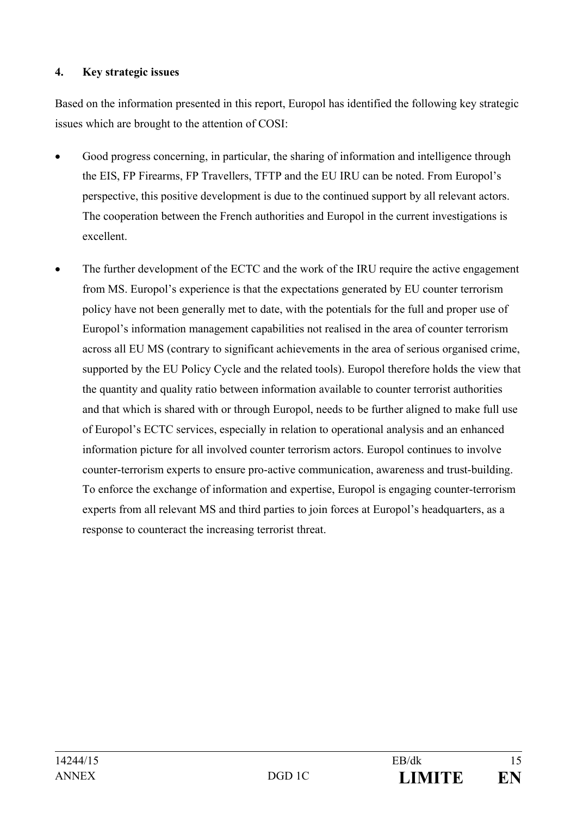#### **4. Key strategic issues**

Based on the information presented in this report, Europol has identified the following key strategic issues which are brought to the attention of COSI:

- Good progress concerning, in particular, the sharing of information and intelligence through the EIS, FP Firearms, FP Travellers, TFTP and the EU IRU can be noted. From Europol's perspective, this positive development is due to the continued support by all relevant actors. The cooperation between the French authorities and Europol in the current investigations is excellent.
- The further development of the ECTC and the work of the IRU require the active engagement from MS. Europol's experience is that the expectations generated by EU counter terrorism policy have not been generally met to date, with the potentials for the full and proper use of Europol's information management capabilities not realised in the area of counter terrorism across all EU MS (contrary to significant achievements in the area of serious organised crime, supported by the EU Policy Cycle and the related tools). Europol therefore holds the view that the quantity and quality ratio between information available to counter terrorist authorities and that which is shared with or through Europol, needs to be further aligned to make full use of Europol's ECTC services, especially in relation to operational analysis and an enhanced information picture for all involved counter terrorism actors. Europol continues to involve counter-terrorism experts to ensure pro-active communication, awareness and trust-building. To enforce the exchange of information and expertise, Europol is engaging counter-terrorism experts from all relevant MS and third parties to join forces at Europol's headquarters, as a response to counteract the increasing terrorist threat.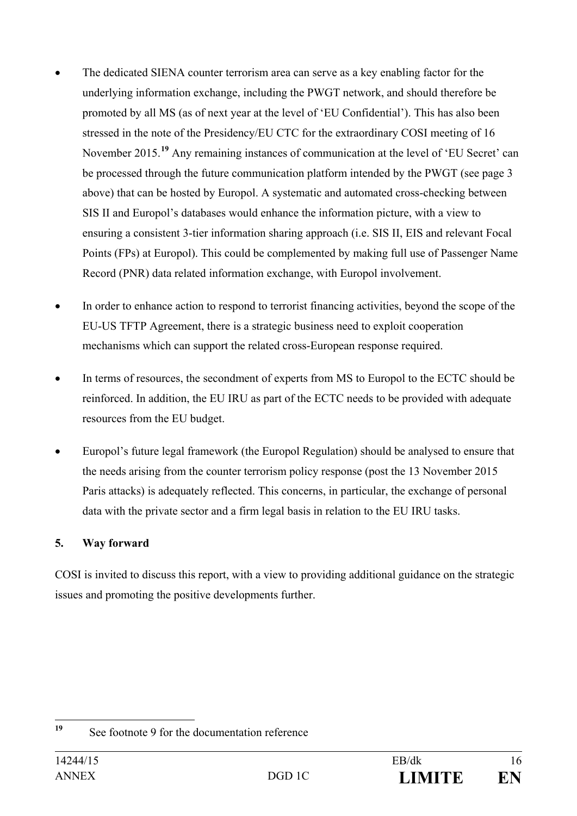- The dedicated SIENA counter terrorism area can serve as a key enabling factor for the underlying information exchange, including the PWGT network, and should therefore be promoted by all MS (as of next year at the level of 'EU Confidential'). This has also been stressed in the note of the Presidency/EU CTC for the extraordinary COSI meeting of 16 November 2015.**[19](#page-15-0)** Any remaining instances of communication at the level of 'EU Secret' can be processed through the future communication platform intended by the PWGT (see page 3 above) that can be hosted by Europol. A systematic and automated cross-checking between SIS II and Europol's databases would enhance the information picture, with a view to ensuring a consistent 3-tier information sharing approach (i.e. SIS II, EIS and relevant Focal Points (FPs) at Europol). This could be complemented by making full use of Passenger Name Record (PNR) data related information exchange, with Europol involvement.
- In order to enhance action to respond to terrorist financing activities, beyond the scope of the EU-US TFTP Agreement, there is a strategic business need to exploit cooperation mechanisms which can support the related cross-European response required.
- In terms of resources, the secondment of experts from MS to Europol to the ECTC should be reinforced. In addition, the EU IRU as part of the ECTC needs to be provided with adequate resources from the EU budget.
- Europol's future legal framework (the Europol Regulation) should be analysed to ensure that the needs arising from the counter terrorism policy response (post the 13 November 2015 Paris attacks) is adequately reflected. This concerns, in particular, the exchange of personal data with the private sector and a firm legal basis in relation to the EU IRU tasks.

## **5. Way forward**

COSI is invited to discuss this report, with a view to providing additional guidance on the strategic issues and promoting the positive developments further.

<span id="page-15-0"></span>**<sup>19</sup>** See footnote 9 for the documentation reference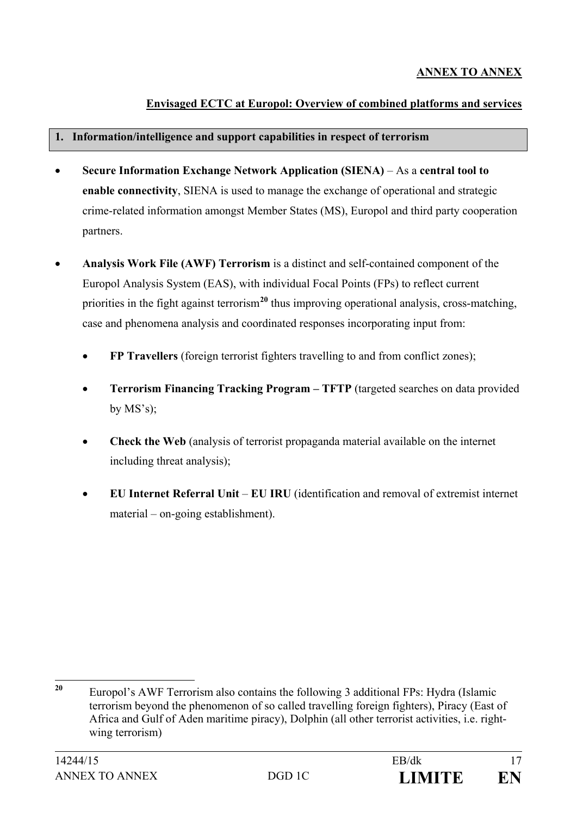## **Envisaged ECTC at Europol: Overview of combined platforms and services**

#### **1. Information/intelligence and support capabilities in respect of terrorism**

- **Secure Information Exchange Network Application (SIENA)** As a **central tool to enable connectivity**, SIENA is used to manage the exchange of operational and strategic crime-related information amongst Member States (MS), Europol and third party cooperation partners.
- **Analysis Work File (AWF) Terrorism** is a distinct and self-contained component of the Europol Analysis System (EAS), with individual Focal Points (FPs) to reflect current priorities in the fight against terrorism**[20](#page-16-0)** thus improving operational analysis, cross-matching, case and phenomena analysis and coordinated responses incorporating input from:
	- **FP Travellers** (foreign terrorist fighters travelling to and from conflict zones);
	- **Terrorism Financing Tracking Program – TFTP** (targeted searches on data provided by  $MS's$ );
	- **Check the Web** (analysis of terrorist propaganda material available on the internet including threat analysis);
	- **EU Internet Referral Unit EU IRU** (identification and removal of extremist internet material – on-going establishment).

<span id="page-16-0"></span>**<sup>20</sup>** Europol's AWF Terrorism also contains the following 3 additional FPs: Hydra (Islamic terrorism beyond the phenomenon of so called travelling foreign fighters), Piracy (East of Africa and Gulf of Aden maritime piracy), Dolphin (all other terrorist activities, i.e. rightwing terrorism)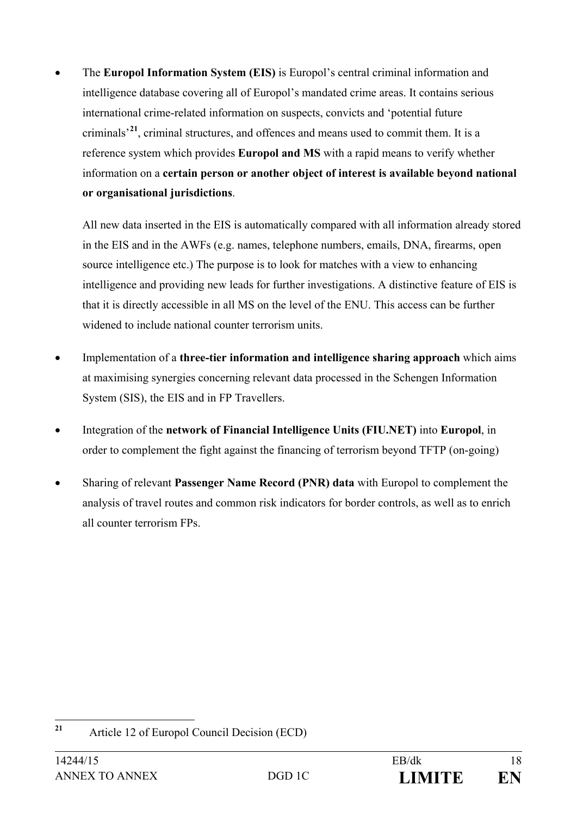• The **Europol Information System (EIS)** is Europol's central criminal information and intelligence database covering all of Europol's mandated crime areas. It contains serious international crime-related information on suspects, convicts and 'potential future criminals'**[21](#page-17-0)**, criminal structures, and offences and means used to commit them. It is a reference system which provides **Europol and MS** with a rapid means to verify whether information on a **certain person or another object of interest is available beyond national or organisational jurisdictions**.

All new data inserted in the EIS is automatically compared with all information already stored in the EIS and in the AWFs (e.g. names, telephone numbers, emails, DNA, firearms, open source intelligence etc.) The purpose is to look for matches with a view to enhancing intelligence and providing new leads for further investigations. A distinctive feature of EIS is that it is directly accessible in all MS on the level of the ENU. This access can be further widened to include national counter terrorism units.

- Implementation of a **three-tier information and intelligence sharing approach** which aims at maximising synergies concerning relevant data processed in the Schengen Information System (SIS), the EIS and in FP Travellers.
- Integration of the **network of Financial Intelligence Units (FIU.NET)** into **Europol**, in order to complement the fight against the financing of terrorism beyond TFTP (on-going)
- Sharing of relevant **Passenger Name Record (PNR) data** with Europol to complement the analysis of travel routes and common risk indicators for border controls, as well as to enrich all counter terrorism FPs.

<span id="page-17-0"></span>**<sup>21</sup>** Article 12 of Europol Council Decision (ECD)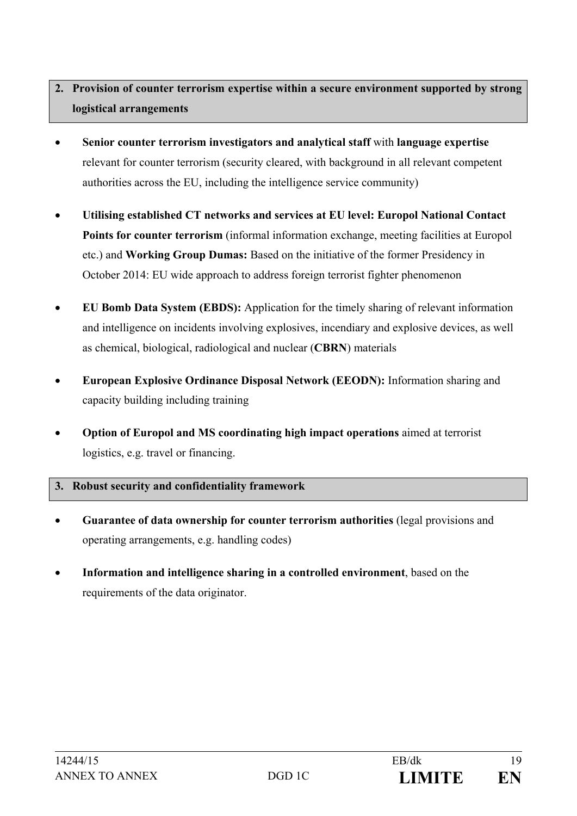## **2. Provision of counter terrorism expertise within a secure environment supported by strong logistical arrangements**

- **Senior counter terrorism investigators and analytical staff** with **language expertise** relevant for counter terrorism (security cleared, with background in all relevant competent authorities across the EU, including the intelligence service community)
- **Utilising established CT networks and services at EU level: Europol National Contact Points for counter terrorism** (informal information exchange, meeting facilities at Europol etc.) and **Working Group Dumas:** Based on the initiative of the former Presidency in October 2014: EU wide approach to address foreign terrorist fighter phenomenon
- **EU Bomb Data System (EBDS):** Application for the timely sharing of relevant information and intelligence on incidents involving explosives, incendiary and explosive devices, as well as chemical, biological, radiological and nuclear (**CBRN**) materials
- **European Explosive Ordinance Disposal Network (EEODN):** Information sharing and capacity building including training
- **Option of Europol and MS coordinating high impact operations** aimed at terrorist logistics, e.g. travel or financing.

#### **3. Robust security and confidentiality framework**

- **Guarantee of data ownership for counter terrorism authorities** (legal provisions and operating arrangements, e.g. handling codes)
- **Information and intelligence sharing in a controlled environment**, based on the requirements of the data originator.